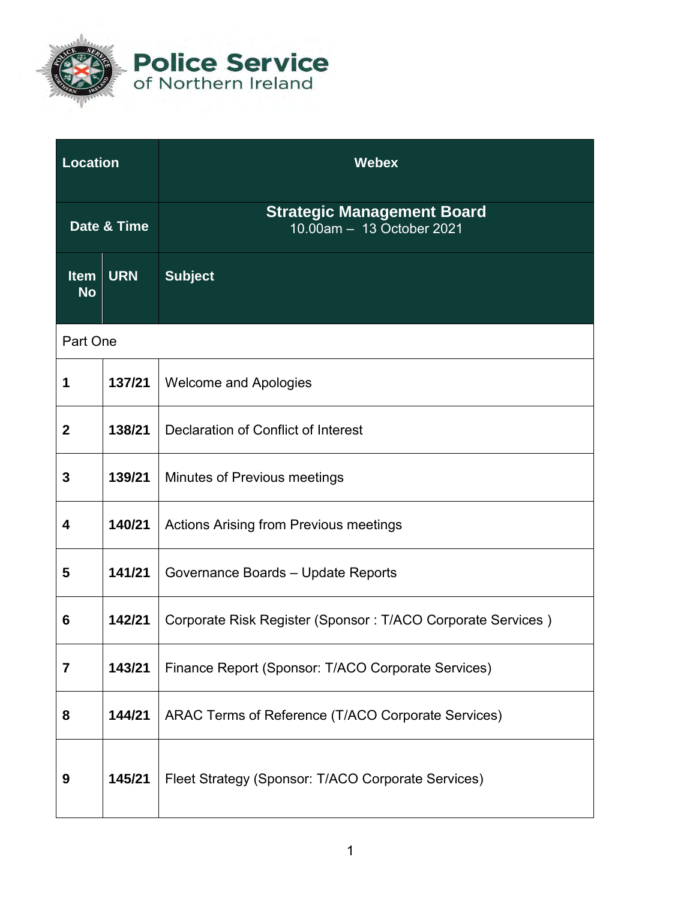

**Police Service**<br>of Northern Ireland

| <b>Location</b>          |            | <b>Webex</b>                                                   |  |
|--------------------------|------------|----------------------------------------------------------------|--|
| Date & Time              |            | <b>Strategic Management Board</b><br>10.00am - 13 October 2021 |  |
| <b>Item</b><br><b>No</b> | <b>URN</b> | <b>Subject</b>                                                 |  |
| Part One                 |            |                                                                |  |
| 1                        | 137/21     | <b>Welcome and Apologies</b>                                   |  |
| $\mathbf 2$              | 138/21     | Declaration of Conflict of Interest                            |  |
| 3                        | 139/21     | Minutes of Previous meetings                                   |  |
| 4                        | 140/21     | <b>Actions Arising from Previous meetings</b>                  |  |
| 5                        | 141/21     | Governance Boards - Update Reports                             |  |
| 6                        | 142/21     | Corporate Risk Register (Sponsor: T/ACO Corporate Services)    |  |
| 7                        | 143/21     | Finance Report (Sponsor: T/ACO Corporate Services)             |  |
| 8                        | 144/21     | ARAC Terms of Reference (T/ACO Corporate Services)             |  |
| 9                        | 145/21     | Fleet Strategy (Sponsor: T/ACO Corporate Services)             |  |